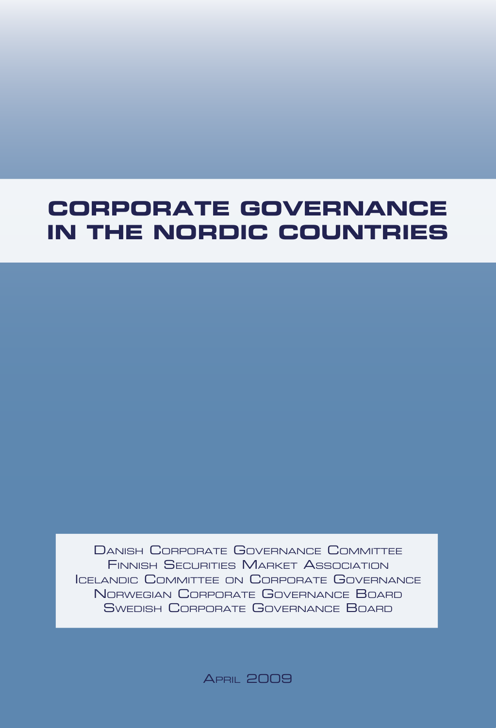# **Corporate Governance in the Nordic Countries**

Danish Corporate Governance Committee Finnish Securities Market Association Icelandic Committee on Corporate Governance Norwegian Corporate Governance Board Swedish Corporate Governance Board

**APRIL 2009**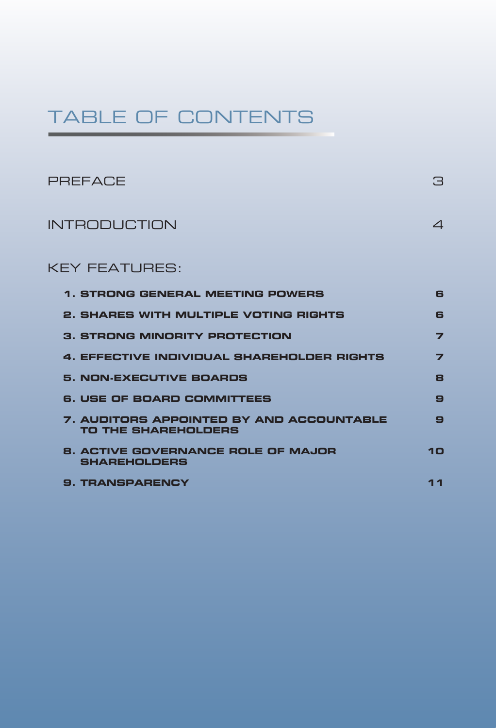## TABLE OF CONTENTS

| <b>PREFACE</b>                                                                | 3  |
|-------------------------------------------------------------------------------|----|
| <b>INTRODUCTION</b>                                                           | 4  |
| <b>KEY FEATURES:</b>                                                          |    |
| <b>1. STRONG GENERAL MEETING POWERS</b>                                       | 6  |
| <b>2. SHARES WITH MULTIPLE VOTING RIGHTS</b>                                  | 6  |
| <b>3. STRONG MINORITY PROTECTION</b>                                          | 7  |
| 4. EFFECTIVE INDIVIDUAL SHAREHOLDER RIGHTS                                    | 7  |
| <b>5. NON-EXECUTIVE BOARDS</b>                                                | 8  |
| <b>6. USE OF BOARD COMMITTEES</b>                                             | 9  |
| <b>7. AUDITORS APPOINTED BY AND ACCOUNTABLE</b><br><b>TO THE SHAREHOLDERS</b> | 9  |
| <b>8. ACTIVE GOVERNANCE ROLE OF MAJOR</b><br><b>SHAREHOLDERS</b>              | 10 |
| <b>9. TRANSPARENCY</b>                                                        | 11 |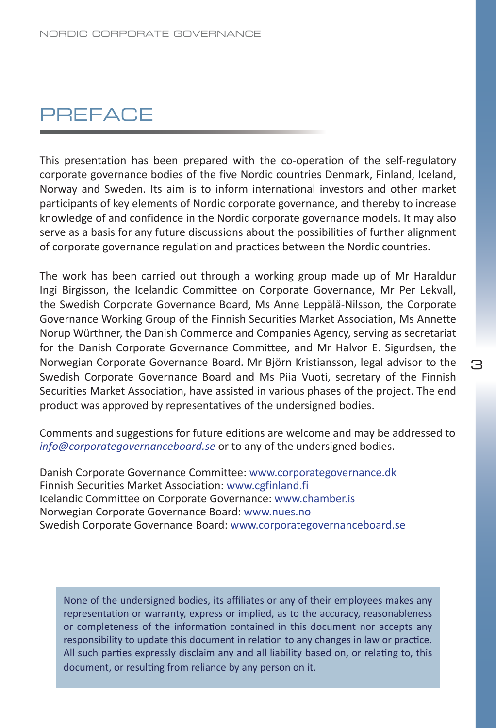#### **PREFACE**

This presentation has been prepared with the co-operation of the self-regulatory corporate governance bodies of the five Nordic countries Denmark, Finland, Iceland, Norway and Sweden. Its aim is to inform international investors and other market participants of key elements of Nordic corporate governance, and thereby to increase knowledge of and confidence in the Nordic corporate governance models. It may also serve as a basis for any future discussions about the possibilities of further alignment of corporate governance regulation and practices between the Nordic countries.

The work has been carried out through a working group made up of Mr Haraldur Ingi Birgisson, the Icelandic Committee on Corporate Governance, Mr Per Lekvall, the Swedish Corporate Governance Board, Ms Anne Leppälä-Nilsson, the Corporate Governance Working Group of the Finnish Securities Market Association, Ms Annette Norup Würthner, the Danish Commerce and Companies Agency, serving as secretariat for the Danish Corporate Governance Committee, and Mr Halvor E. Sigurdsen, the Norwegian Corporate Governance Board. Mr Björn Kristiansson, legal advisor to the Swedish Corporate Governance Board and Ms Piia Vuoti, secretary of the Finnish Securities Market Association, have assisted in various phases of the project. The end product was approved by representatives of the undersigned bodies.

Comments and suggestions for future editions are welcome and may be addressed to *info@corporategovernanceboard.se* or to any of the undersigned bodies.

Danish Corporate Governance Committee: www.corporategovernance.dk Finnish Securities Market Association: www.cgfinland.fi Icelandic Committee on Corporate Governance: www.chamber.is Norwegian Corporate Governance Board: www.nues.no Swedish Corporate Governance Board: www.corporategovernanceboard.se

None of the undersigned bodies, its affiliates or any of their employees makes any representation or warranty, express or implied, as to the accuracy, reasonableness or completeness of the information contained in this document nor accepts any responsibility to update this document in relation to any changes in law or practice. All such parties expressly disclaim any and all liability based on, or relating to, this document, or resulting from reliance by any person on it.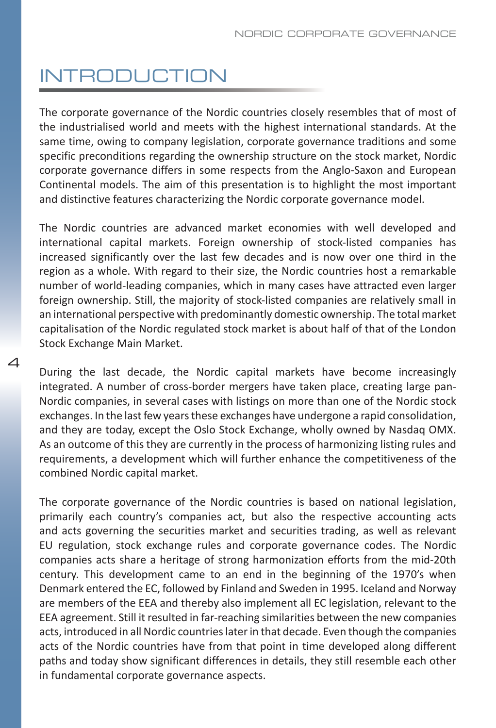# INTRODUCTION

The corporate governance of the Nordic countries closely resembles that of most of the industrialised world and meets with the highest international standards. At the same time, owing to company legislation, corporate governance traditions and some specific preconditions regarding the ownership structure on the stock market, Nordic corporate governance differs in some respects from the Anglo-Saxon and European Continental models. The aim of this presentation is to highlight the most important and distinctive features characterizing the Nordic corporate governance model.

The Nordic countries are advanced market economies with well developed and international capital markets. Foreign ownership of stock-listed companies has increased significantly over the last few decades and is now over one third in the region as a whole. With regard to their size, the Nordic countries host a remarkable number of world-leading companies, which in many cases have attracted even larger foreign ownership. Still, the majority of stock-listed companies are relatively small in an international perspective with predominantly domestic ownership. The total market capitalisation of the Nordic regulated stock market is about half of that of the London Stock Exchange Main Market.

During the last decade, the Nordic capital markets have become increasingly integrated. A number of cross-border mergers have taken place, creating large pan-Nordic companies, in several cases with listings on more than one of the Nordic stock exchanges. In the last few years these exchanges have undergone a rapid consolidation, and they are today, except the Oslo Stock Exchange, wholly owned by Nasdaq OMX. As an outcome of this they are currently in the process of harmonizing listing rules and requirements, a development which will further enhance the competitiveness of the combined Nordic capital market.

The corporate governance of the Nordic countries is based on national legislation, primarily each country's companies act, but also the respective accounting acts and acts governing the securities market and securities trading, as well as relevant EU regulation, stock exchange rules and corporate governance codes. The Nordic companies acts share a heritage of strong harmonization efforts from the mid-20th century. This development came to an end in the beginning of the 1970's when Denmark entered the EC, followed by Finland and Sweden in 1995. Iceland and Norway are members of the EEA and thereby also implement all EC legislation, relevant to the EEA agreement. Still it resulted in far-reaching similarities between the new companies acts, introduced in all Nordic countries later in that decade. Even though the companies acts of the Nordic countries have from that point in time developed along different paths and today show significant differences in details, they still resemble each other in fundamental corporate governance aspects.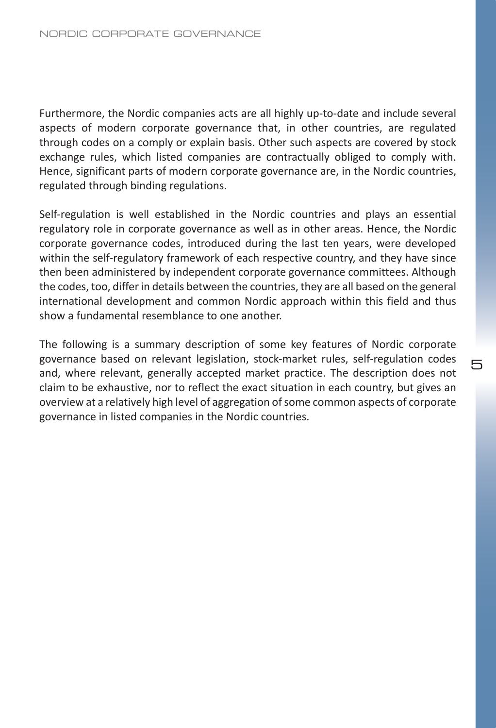Furthermore, the Nordic companies acts are all highly up-to-date and include several aspects of modern corporate governance that, in other countries, are regulated through codes on a comply or explain basis. Other such aspects are covered by stock exchange rules, which listed companies are contractually obliged to comply with. Hence, significant parts of modern corporate governance are, in the Nordic countries, regulated through binding regulations.

Self-regulation is well established in the Nordic countries and plays an essential regulatory role in corporate governance as well as in other areas. Hence, the Nordic corporate governance codes, introduced during the last ten years, were developed within the self-regulatory framework of each respective country, and they have since then been administered by independent corporate governance committees. Although the codes, too, differ in details between the countries, they are all based on the general international development and common Nordic approach within this field and thus show a fundamental resemblance to one another.

The following is a summary description of some key features of Nordic corporate governance based on relevant legislation, stock-market rules, self-regulation codes and, where relevant, generally accepted market practice. The description does not claim to be exhaustive, nor to reflect the exact situation in each country, but gives an overview at a relatively high level of aggregation of some common aspects of corporate governance in listed companies in the Nordic countries.

ᄐ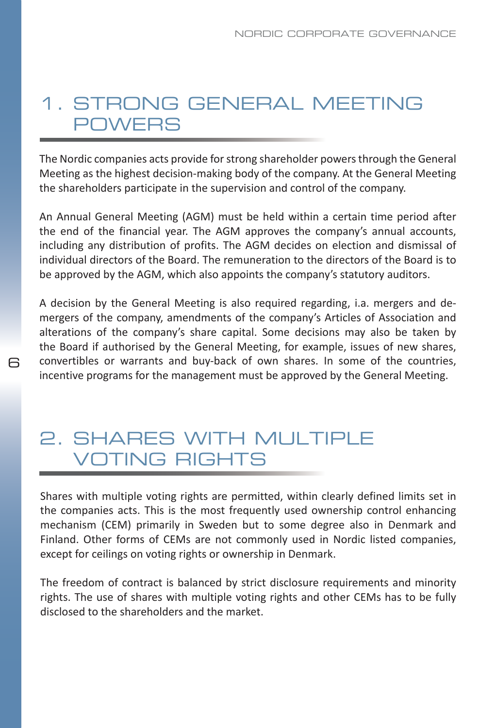#### 1. Strong General Meeting **POWERS**

The Nordic companies acts provide for strong shareholder powers through the General Meeting as the highest decision-making body of the company. At the General Meeting the shareholders participate in the supervision and control of the company.

An Annual General Meeting (AGM) must be held within a certain time period after the end of the financial year. The AGM approves the company's annual accounts, including any distribution of profits. The AGM decides on election and dismissal of individual directors of the Board. The remuneration to the directors of the Board is to be approved by the AGM, which also appoints the company's statutory auditors.

A decision by the General Meeting is also required regarding, i.a. mergers and demergers of the company, amendments of the company's Articles of Association and alterations of the company's share capital. Some decisions may also be taken by the Board if authorised by the General Meeting, for example, issues of new shares, convertibles or warrants and buy-back of own shares. In some of the countries, incentive programs for the management must be approved by the General Meeting.

#### 2. shares with Multiple Voting Rights

ട

Shares with multiple voting rights are permitted, within clearly defined limits set in the companies acts. This is the most frequently used ownership control enhancing mechanism (CEM) primarily in Sweden but to some degree also in Denmark and Finland. Other forms of CEMs are not commonly used in Nordic listed companies, except for ceilings on voting rights or ownership in Denmark.

The freedom of contract is balanced by strict disclosure requirements and minority rights. The use of shares with multiple voting rights and other CEMs has to be fully disclosed to the shareholders and the market.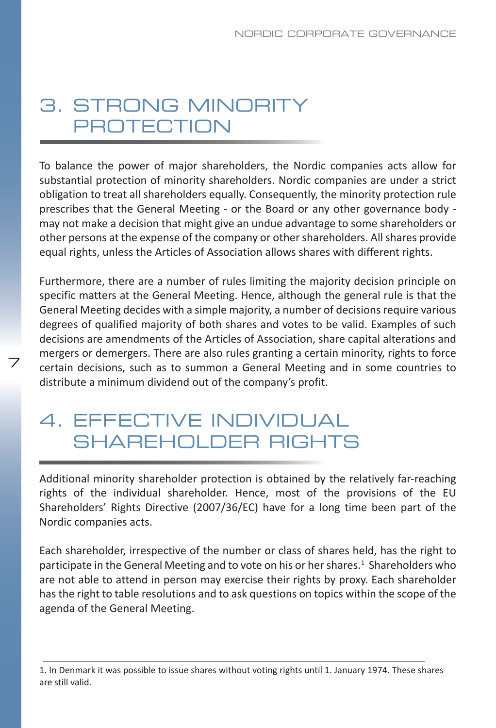### 3. strong Minority **PROTECTION**

To balance the power of major shareholders, the Nordic companies acts allow for substantial protection of minority shareholders. Nordic companies are under a strict obligation to treat all shareholders equally. Consequently, the minority protection rule prescribes that the General Meeting - or the Board or any other governance body may not make a decision that might give an undue advantage to some shareholders or other persons at the expense of the company or other shareholders. All shares provide equal rights, unless the Articles of Association allows shares with different rights.

Furthermore, there are a number of rules limiting the majority decision principle on specific matters at the General Meeting. Hence, although the general rule is that the General Meeting decides with a simple majority, a number of decisions require various degrees of qualified majority of both shares and votes to be valid. Examples of such decisions are amendments of the Articles of Association, share capital alterations and mergers or demergers. There are also rules granting a certain minority, rights to force certain decisions, such as to summon a General Meeting and in some countries to distribute a minimum dividend out of the company's profit.

#### 4. Effective Individual SHARFHOLDER RIGHTS

7

Additional minority shareholder protection is obtained by the relatively far-reaching rights of the individual shareholder. Hence, most of the provisions of the EU Shareholders' Rights Directive (2007/36/EC) have for a long time been part of the Nordic companies acts.

Each shareholder, irrespective of the number or class of shares held, has the right to participate in the General Meeting and to vote on his or her shares.<sup>1</sup> Shareholders who are not able to attend in person may exercise their rights by proxy. Each shareholder has the right to table resolutions and to ask questions on topics within the scope of the agenda of the General Meeting.

<sup>1.</sup> In Denmark it was possible to issue shares without voting rights until 1. January 1974. These shares are still valid.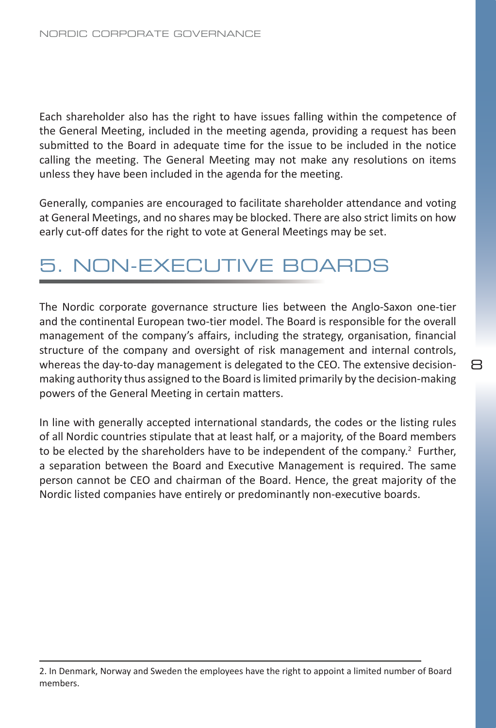Each shareholder also has the right to have issues falling within the competence of the General Meeting, included in the meeting agenda, providing a request has been submitted to the Board in adequate time for the issue to be included in the notice calling the meeting. The General Meeting may not make any resolutions on items unless they have been included in the agenda for the meeting.

Generally, companies are encouraged to facilitate shareholder attendance and voting at General Meetings, and no shares may be blocked. There are also strict limits on how early cut-off dates for the right to vote at General Meetings may be set.

#### 5. Non-Executive Boards

The Nordic corporate governance structure lies between the Anglo-Saxon one-tier and the continental European two-tier model. The Board is responsible for the overall management of the company's affairs, including the strategy, organisation, financial structure of the company and oversight of risk management and internal controls, whereas the day-to-day management is delegated to the CEO. The extensive decisionmaking authority thus assigned to the Board is limited primarily by the decision-making powers of the General Meeting in certain matters.

R

In line with generally accepted international standards, the codes or the listing rules of all Nordic countries stipulate that at least half, or a majority, of the Board members to be elected by the shareholders have to be independent of the company.<sup>2</sup> Further, a separation between the Board and Executive Management is required. The same person cannot be CEO and chairman of the Board. Hence, the great majority of the Nordic listed companies have entirely or predominantly non-executive boards.

<sup>2.</sup> In Denmark, Norway and Sweden the employees have the right to appoint a limited number of Board members.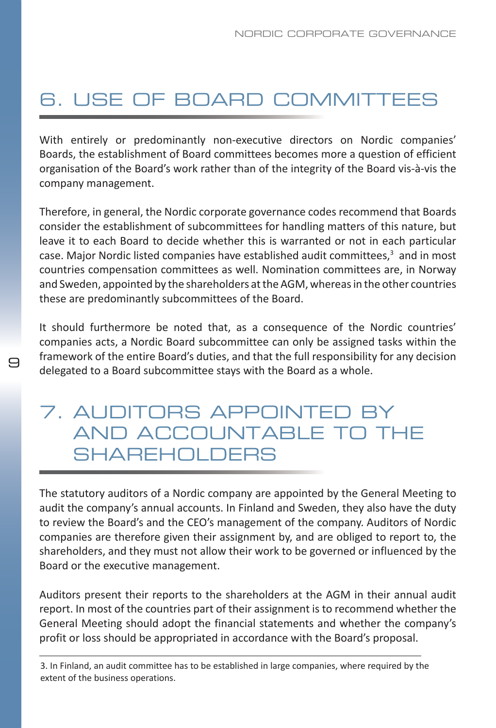# 6. Use of Board CommitteeS

With entirely or predominantly non-executive directors on Nordic companies' Boards, the establishment of Board committees becomes more a question of efficient organisation of the Board's work rather than of the integrity of the Board vis-à-vis the company management.

Therefore, in general, the Nordic corporate governance codes recommend that Boards consider the establishment of subcommittees for handling matters of this nature, but leave it to each Board to decide whether this is warranted or not in each particular case. Major Nordic listed companies have established audit committees, $3$  and in most countries compensation committees as well. Nomination committees are, in Norway and Sweden, appointed by the shareholders at the AGM, whereas in the other countries these are predominantly subcommittees of the Board.

It should furthermore be noted that, as a consequence of the Nordic countries' companies acts, a Nordic Board subcommittee can only be assigned tasks within the framework of the entire Board's duties, and that the full responsibility for any decision delegated to a Board subcommittee stays with the Board as a whole.

#### 7. Auditors Appointed by and Accountable to the SHARFHOLDFRS

9

The statutory auditors of a Nordic company are appointed by the General Meeting to audit the company's annual accounts. In Finland and Sweden, they also have the duty to review the Board's and the CEO's management of the company. Auditors of Nordic companies are therefore given their assignment by, and are obliged to report to, the shareholders, and they must not allow their work to be governed or influenced by the Board or the executive management.

Auditors present their reports to the shareholders at the AGM in their annual audit report. In most of the countries part of their assignment is to recommend whether the General Meeting should adopt the financial statements and whether the company's profit or loss should be appropriated in accordance with the Board's proposal.

3. In Finland, an audit committee has to be established in large companies, where required by the extent of the business operations.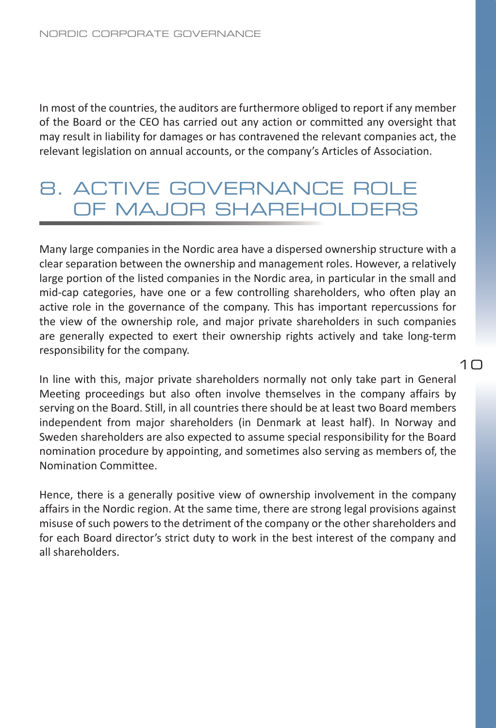In most of the countries, the auditors are furthermore obliged to report if any member of the Board or the CEO has carried out any action or committed any oversight that may result in liability for damages or has contravened the relevant companies act, the relevant legislation on annual accounts, or the company's Articles of Association.

#### 8. Active Governance Role of Major Shareholders

Many large companies in the Nordic area have a dispersed ownership structure with a clear separation between the ownership and management roles. However, a relatively large portion of the listed companies in the Nordic area, in particular in the small and mid-cap categories, have one or a few controlling shareholders, who often play an active role in the governance of the company. This has important repercussions for the view of the ownership role, and major private shareholders in such companies are generally expected to exert their ownership rights actively and take long-term responsibility for the company.

In line with this, major private shareholders normally not only take part in General Meeting proceedings but also often involve themselves in the company affairs by serving on the Board. Still, in all countries there should be at least two Board members independent from major shareholders (in Denmark at least half). In Norway and Sweden shareholders are also expected to assume special responsibility for the Board nomination procedure by appointing, and sometimes also serving as members of, the Nomination Committee.

Hence, there is a generally positive view of ownership involvement in the company affairs in the Nordic region. At the same time, there are strong legal provisions against misuse of such powers to the detriment of the company or the other shareholders and for each Board director's strict duty to work in the best interest of the company and all shareholders.

#### $1<sub>0</sub>$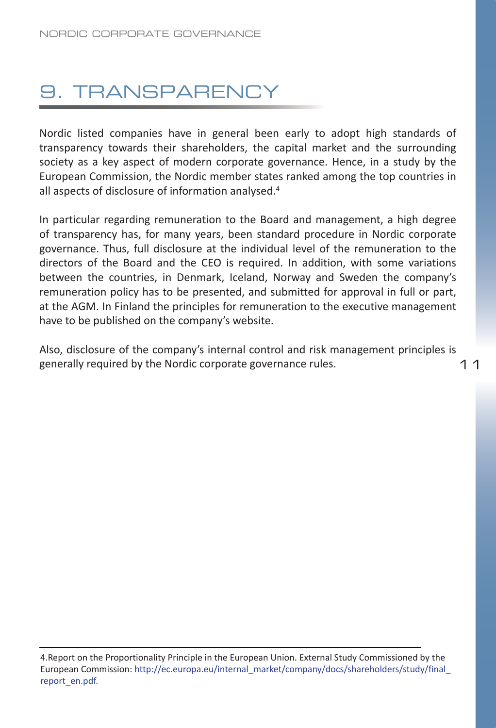## 9. Transparency

Nordic listed companies have in general been early to adopt high standards of transparency towards their shareholders, the capital market and the surrounding society as a key aspect of modern corporate governance. Hence, in a study by the European Commission, the Nordic member states ranked among the top countries in all aspects of disclosure of information analysed.4

In particular regarding remuneration to the Board and management, a high degree of transparency has, for many years, been standard procedure in Nordic corporate governance. Thus, full disclosure at the individual level of the remuneration to the directors of the Board and the CEO is required. In addition, with some variations between the countries, in Denmark, Iceland, Norway and Sweden the company's remuneration policy has to be presented, and submitted for approval in full or part, at the AGM. In Finland the principles for remuneration to the executive management have to be published on the company's website.

11 Also, disclosure of the company's internal control and risk management principles is generally required by the Nordic corporate governance rules.

<sup>4.</sup>Report on the Proportionality Principle in the European Union. External Study Commissioned by the European Commission: http://ec.europa.eu/internal\_market/company/docs/shareholders/study/final\_ report\_en.pdf.